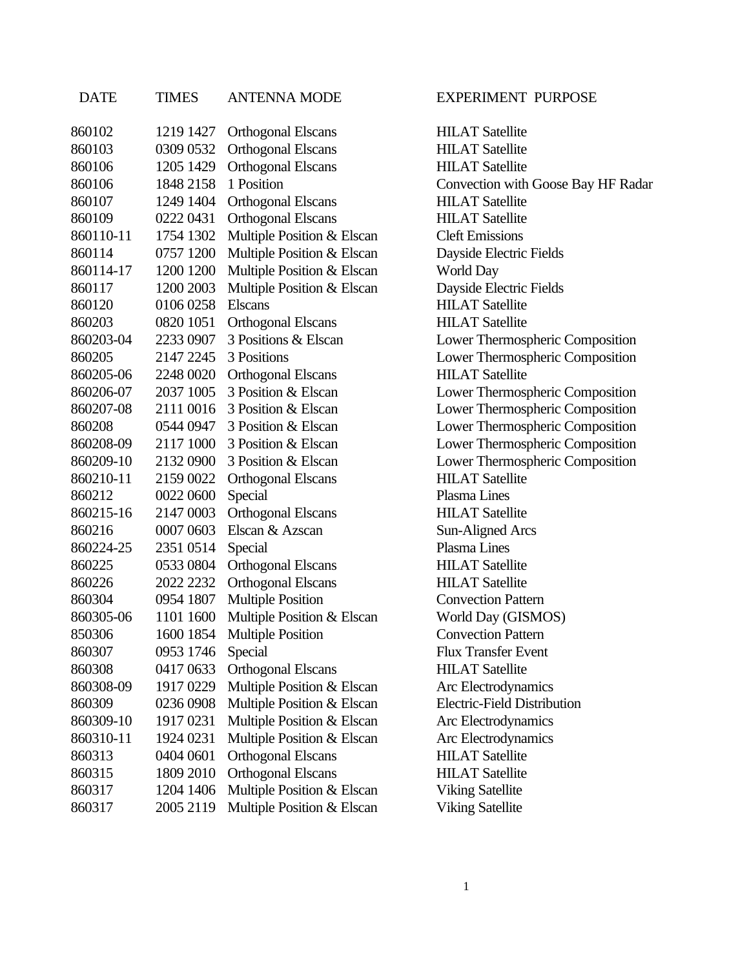| DATE      | TIMES     | ANTENNA MODE               |
|-----------|-----------|----------------------------|
| 860102    | 1219 1427 | Orthogonal Elscans         |
| 860103    | 0309 0532 | <b>Orthogonal Elscans</b>  |
| 860106    | 1205 1429 | <b>Orthogonal Elscans</b>  |
| 860106    | 1848 2158 | 1 Position                 |
| 860107    | 1249 1404 | <b>Orthogonal Elscans</b>  |
| 860109    | 0222 0431 | <b>Orthogonal Elscans</b>  |
| 860110-11 | 1754 1302 | Multiple Position & Elscan |
| 860114    | 0757 1200 | Multiple Position & Elscan |
| 860114-17 | 1200 1200 | Multiple Position & Elscan |
| 860117    | 1200 2003 | Multiple Position & Elscan |
| 860120    | 0106 0258 | <b>Elscans</b>             |
| 860203    | 0820 1051 | <b>Orthogonal Elscans</b>  |
| 860203-04 | 2233 0907 | 3 Positions & Elscan       |
| 860205    | 2147 2245 | 3 Positions                |
| 860205-06 | 2248 0020 | <b>Orthogonal Elscans</b>  |
| 860206-07 | 2037 1005 | 3 Position & Elscan        |
| 860207-08 | 2111 0016 | 3 Position & Elscan        |
| 860208    | 0544 0947 | 3 Position & Elscan        |
| 860208-09 | 2117 1000 | 3 Position & Elscan        |
| 860209-10 | 2132 0900 | 3 Position & Elscan        |
| 860210-11 | 2159 0022 | <b>Orthogonal Elscans</b>  |
| 860212    | 0022 0600 | Special                    |
| 860215-16 | 2147 0003 | <b>Orthogonal Elscans</b>  |
| 860216    | 0007 0603 | Elscan & Azscan            |
| 860224-25 | 2351 0514 | Special                    |
| 860225    | 0533 0804 | <b>Orthogonal Elscans</b>  |
| 860226    | 2022 2232 | <b>Orthogonal Elscans</b>  |
| 860304    | 0954 1807 | <b>Multiple Position</b>   |
| 860305-06 | 1101 1600 | Multiple Position & Elscan |
| 850306    | 1600 1854 | <b>Multiple Position</b>   |
| 860307    | 0953 1746 | Special                    |
| 860308    | 04170633  | <b>Orthogonal Elscans</b>  |
| 860308-09 | 1917 0229 | Multiple Position & Elscan |
| 860309    | 0236 0908 | Multiple Position & Elscan |
| 860309-10 | 1917 0231 | Multiple Position & Elscan |
| 860310-11 | 1924 0231 | Multiple Position & Elscan |
| 860313    | 0404 0601 | <b>Orthogonal Elscans</b>  |
| 860315    | 1809 2010 | Orthogonal Elscans         |
| 860317    | 1204 1406 | Multiple Position & Elscan |
| 860317    | 2005 2119 | Multiple Position & Elscan |

## NA MODE EXPERIMENT PURPOSE

**HILAT Satellite HILAT Satellite HILAT Satellite** Convection with Goose Bay HF Radar HILAT Satellite **HILAT Satellite Cleft Emissions** Dayside Electric Fields World Day Dayside Electric Fields **HILAT Satellite HILAT Satellite** Lower Thermospheric Composition Lower Thermospheric Composition HILAT Satellite Lower Thermospheric Composition Lower Thermospheric Composition Lower Thermospheric Composition Lower Thermospheric Composition Lower Thermospheric Composition HILAT Satellite Plasma Lines HILAT Satellite Sun-Aligned Arcs Plasma Lines **HILAT Satellite HILAT Satellite Convection Pattern** World Day (GISMOS) **Convection Pattern** Flux Transfer Event **HILAT Satellite** Arc Electrodynamics **Electric-Field Distribution** Arc Electrodynamics Arc Electrodynamics **HILAT Satellite HILAT Satellite** Viking Satellite Viking Satellite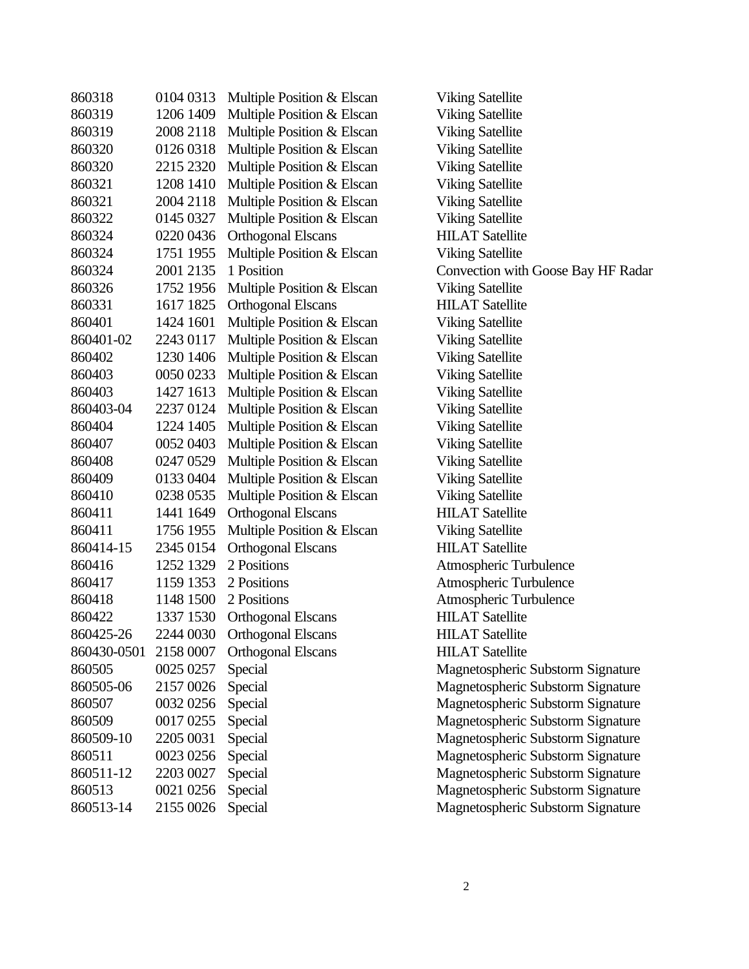| 860318                | 0104 0313 | Multiple Position & Elscan | <b>Viking Satellite</b>            |
|-----------------------|-----------|----------------------------|------------------------------------|
| 860319                | 1206 1409 | Multiple Position & Elscan | <b>Viking Satellite</b>            |
| 860319                | 2008 2118 | Multiple Position & Elscan | <b>Viking Satellite</b>            |
| 860320                | 0126 0318 | Multiple Position & Elscan | <b>Viking Satellite</b>            |
| 860320                | 2215 2320 | Multiple Position & Elscan | <b>Viking Satellite</b>            |
| 860321                | 1208 1410 | Multiple Position & Elscan | <b>Viking Satellite</b>            |
| 860321                | 2004 2118 | Multiple Position & Elscan | <b>Viking Satellite</b>            |
| 860322                | 0145 0327 | Multiple Position & Elscan | <b>Viking Satellite</b>            |
| 860324                | 0220 0436 | <b>Orthogonal Elscans</b>  | <b>HILAT Satellite</b>             |
| 860324                | 1751 1955 | Multiple Position & Elscan | <b>Viking Satellite</b>            |
| 860324                | 2001 2135 | 1 Position                 | Convection with Goose Bay HF Radar |
| 860326                | 1752 1956 | Multiple Position & Elscan | <b>Viking Satellite</b>            |
| 860331                | 1617 1825 | <b>Orthogonal Elscans</b>  | <b>HILAT Satellite</b>             |
| 860401                | 1424 1601 | Multiple Position & Elscan | <b>Viking Satellite</b>            |
| 860401-02             | 2243 0117 | Multiple Position & Elscan | <b>Viking Satellite</b>            |
| 860402                | 1230 1406 | Multiple Position & Elscan | <b>Viking Satellite</b>            |
| 860403                | 0050 0233 | Multiple Position & Elscan | <b>Viking Satellite</b>            |
| 860403                | 1427 1613 | Multiple Position & Elscan | <b>Viking Satellite</b>            |
| 860403-04             | 2237 0124 | Multiple Position & Elscan | <b>Viking Satellite</b>            |
| 860404                | 1224 1405 | Multiple Position & Elscan | <b>Viking Satellite</b>            |
| 860407                | 0052 0403 | Multiple Position & Elscan | <b>Viking Satellite</b>            |
| 860408                | 0247 0529 | Multiple Position & Elscan | <b>Viking Satellite</b>            |
| 860409                | 0133 0404 | Multiple Position & Elscan | <b>Viking Satellite</b>            |
| 860410                | 0238 0535 | Multiple Position & Elscan | <b>Viking Satellite</b>            |
| 860411                | 1441 1649 | <b>Orthogonal Elscans</b>  | <b>HILAT Satellite</b>             |
| 860411                | 1756 1955 | Multiple Position & Elscan | <b>Viking Satellite</b>            |
| 860414-15             | 2345 0154 | <b>Orthogonal Elscans</b>  | <b>HILAT Satellite</b>             |
| 860416                | 1252 1329 | 2 Positions                | Atmospheric Turbulence             |
| 860417                | 1159 1353 | 2 Positions                | Atmospheric Turbulence             |
| 860418                | 1148 1500 | 2 Positions                | Atmospheric Turbulence             |
| 860422                | 1337 1530 | <b>Orthogonal Elscans</b>  | <b>HILAT Satellite</b>             |
| 860425-26             | 2244 0030 | <b>Orthogonal Elscans</b>  | <b>HILAT</b> Satellite             |
| 860430-0501 2158 0007 |           | <b>Orthogonal Elscans</b>  | <b>HILAT Satellite</b>             |
| 860505                | 0025 0257 | Special                    | Magnetospheric Substorm Signature  |
| 860505-06             | 2157 0026 | Special                    | Magnetospheric Substorm Signature  |
| 860507                | 0032 0256 | Special                    | Magnetospheric Substorm Signature  |
| 860509                | 0017 0255 | Special                    | Magnetospheric Substorm Signature  |
| 860509-10             | 2205 0031 | Special                    | Magnetospheric Substorm Signature  |
| 860511                | 0023 0256 | Special                    | Magnetospheric Substorm Signature  |
| 860511-12             | 2203 0027 | Special                    | Magnetospheric Substorm Signature  |
| 860513                | 0021 0256 | Special                    | Magnetospheric Substorm Signature  |
| 860513-14             | 2155 0026 | Special                    | Magnetospheric Substorm Signature  |
|                       |           |                            |                                    |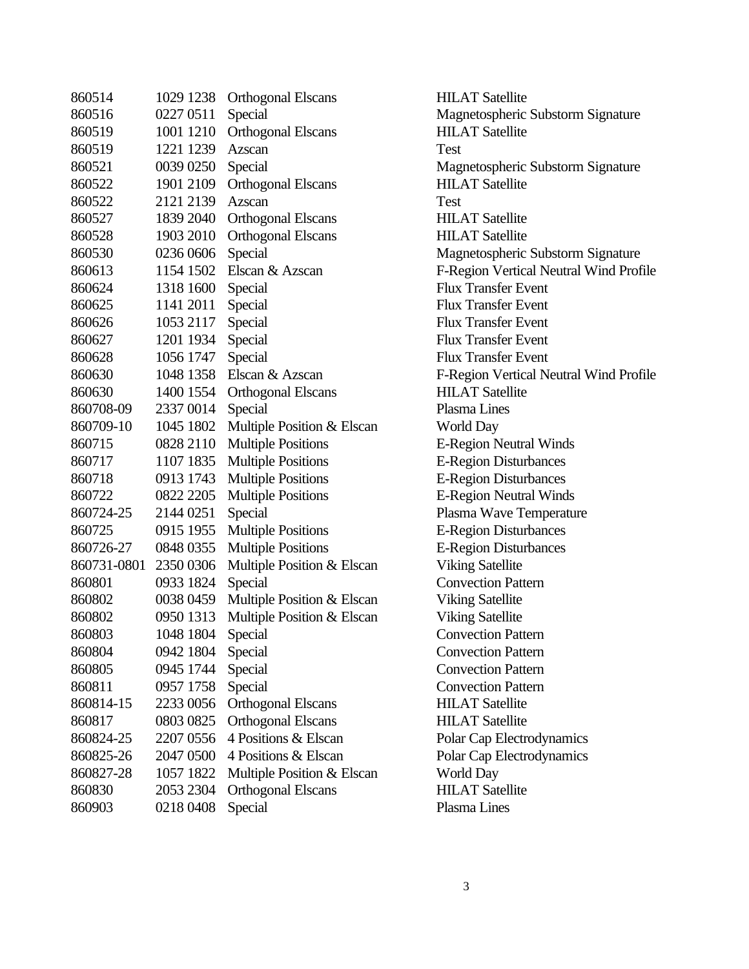| 860514      | 1029 1238 | <b>Orthogonal Elscans</b>  | HIL.  |
|-------------|-----------|----------------------------|-------|
| 860516      | 0227 0511 | Special                    | Mag   |
| 860519      | 1001 1210 | <b>Orthogonal Elscans</b>  | HIL.  |
| 860519      | 1221 1239 | Azscan                     | Test  |
| 860521      | 0039 0250 | Special                    | Mag   |
| 860522      | 1901 2109 | <b>Orthogonal Elscans</b>  | HIL.  |
| 860522      | 2121 2139 | Azscan                     | Test  |
| 860527      | 1839 2040 | <b>Orthogonal Elscans</b>  | HIL.  |
| 860528      | 1903 2010 | <b>Orthogonal Elscans</b>  | HIL.  |
| 860530      | 0236 0606 | Special                    | Mag   |
| 860613      | 1154 1502 | Elscan & Azscan            | $F-R$ |
| 860624      | 1318 1600 | Special                    | Flux  |
| 860625      | 1141 2011 | Special                    | Flux  |
| 860626      | 1053 2117 | Special                    | Flux  |
| 860627      | 1201 1934 | Special                    | Flux  |
| 860628      | 1056 1747 | Special                    | Flux  |
| 860630      | 1048 1358 | Elscan & Azscan            | $F-R$ |
| 860630      | 1400 1554 | <b>Orthogonal Elscans</b>  | HIL.  |
| 860708-09   | 2337 0014 | Special                    | Plasi |
| 860709-10   | 1045 1802 | Multiple Position & Elscan | Wor   |
| 860715      | 0828 2110 | <b>Multiple Positions</b>  | $E-R$ |
| 860717      | 1107 1835 | <b>Multiple Positions</b>  | $E-R$ |
| 860718      | 0913 1743 | <b>Multiple Positions</b>  | $E-R$ |
| 860722      | 0822 2205 | <b>Multiple Positions</b>  | $E-R$ |
| 860724-25   | 2144 0251 | Special                    | Plasi |
| 860725      | 0915 1955 | <b>Multiple Positions</b>  | $E-R$ |
| 860726-27   | 0848 0355 | <b>Multiple Positions</b>  | $E-R$ |
| 860731-0801 | 2350 0306 | Multiple Position & Elscan | Viki  |
| 860801      | 0933 1824 | Special                    | Con   |
| 860802      | 0038 0459 | Multiple Position & Elscan | Viki  |
| 860802      | 0950 1313 | Multiple Position & Elscan | Viki  |
| 860803      | 1048 1804 | Special                    | Con   |
| 860804      | 0942 1804 | Special                    | Con   |
| 860805      | 0945 1744 | Special                    | Con   |
| 860811      | 0957 1758 | Special                    | Con   |
| 860814-15   | 2233 0056 | <b>Orthogonal Elscans</b>  | HIL.  |
| 860817      | 0803 0825 | <b>Orthogonal Elscans</b>  | HIL.  |
| 860824-25   | 2207 0556 | 4 Positions & Elscan       | Pola  |
| 860825-26   | 2047 0500 | 4 Positions & Elscan       | Pola  |
| 860827-28   | 1057 1822 | Multiple Position & Elscan | Wor   |
| 860830      | 2053 2304 | <b>Orthogonal Elscans</b>  | HIL.  |
| 860903      | 0218 0408 | Special                    | Plasi |
|             |           |                            |       |

**HILAT Satellite** Magnetospheric Substorm Signature **HILAT Satellite** Magnetospheric Substorm Signature **HILAT Satellite HILAT Satellite HILAT Satellite** Magnetospheric Substorm Signature F-Region Vertical Neutral Wind Profile **Flux Transfer Event Flux Transfer Event Flux Transfer Event Flux Transfer Event** Flux Transfer Event F-Region Vertical Neutral Wind Profile **HILAT Satellite** Plasma Lines World Day E-Region Neutral Winds E-Region Disturbances E-Region Disturbances E-Region Neutral Winds Plasma Wave Temperature E-Region Disturbances E-Region Disturbances Viking Satellite **Convection Pattern** Viking Satellite Viking Satellite **Convection Pattern Convection Pattern Convection Pattern Convection Pattern** HILAT Satellite **HILAT Satellite** Polar Cap Electrodynamics Polar Cap Electrodynamics World Day **HILAT Satellite** Plasma Lines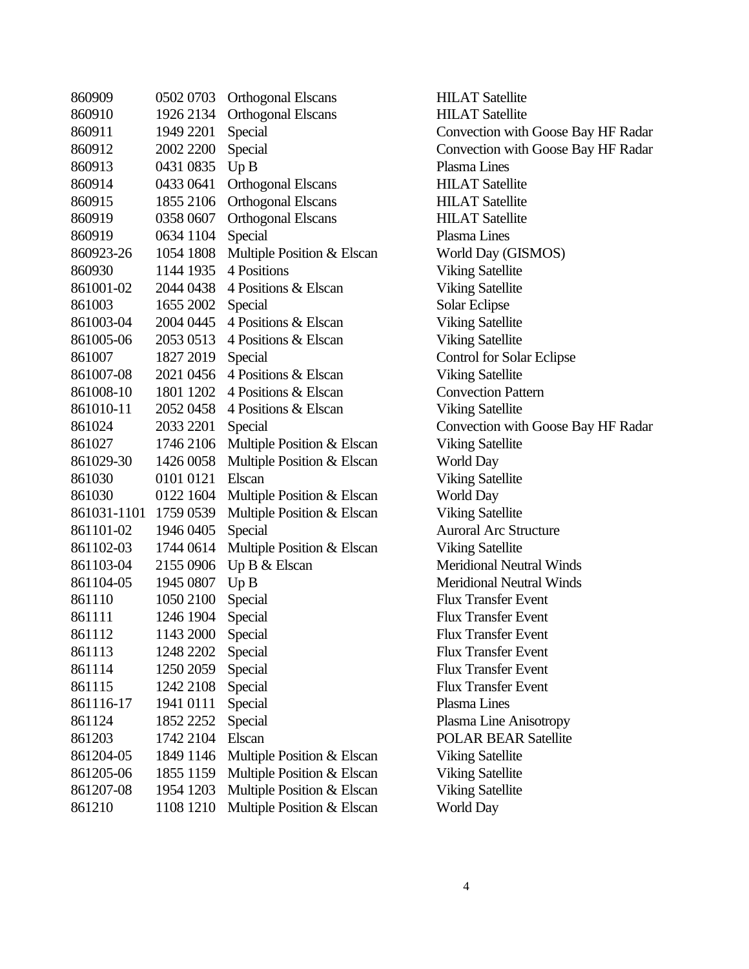| 860909      | 0502 0703 | <b>Orthogonal Elscans</b>  |
|-------------|-----------|----------------------------|
| 860910      | 1926 2134 | <b>Orthogonal Elscans</b>  |
| 860911      | 1949 2201 | Special                    |
| 860912      | 2002 2200 | Special                    |
| 860913      | 0431 0835 | Up B                       |
| 860914      | 0433 0641 | <b>Orthogonal Elscans</b>  |
| 860915      | 1855 2106 | <b>Orthogonal Elscans</b>  |
| 860919      | 0358 0607 | <b>Orthogonal Elscans</b>  |
| 860919      | 0634 1104 | Special                    |
| 860923-26   | 1054 1808 | Multiple Position & Elscan |
| 860930      | 1144 1935 | 4 Positions                |
| 861001-02   | 2044 0438 | 4 Positions & Elscan       |
| 861003      | 1655 2002 | Special                    |
| 861003-04   | 2004 0445 | 4 Positions & Elscan       |
| 861005-06   | 2053 0513 | 4 Positions & Elscan       |
| 861007      | 1827 2019 | Special                    |
| 861007-08   | 2021 0456 | 4 Positions & Elscan       |
| 861008-10   | 1801 1202 | 4 Positions & Elscan       |
| 861010-11   | 2052 0458 | 4 Positions & Elscan       |
| 861024      | 2033 2201 | Special                    |
| 861027      | 1746 2106 | Multiple Position & Elscan |
| 861029-30   | 1426 0058 | Multiple Position & Elscan |
| 861030      | 0101 0121 | Elscan                     |
| 861030      | 0122 1604 | Multiple Position & Elscan |
| 861031-1101 | 1759 0539 | Multiple Position & Elscan |
| 861101-02   | 1946 0405 | Special                    |
| 861102-03   | 1744 0614 | Multiple Position & Elscan |
| 861103-04   | 2155 0906 | Up B & Elscan              |
| 861104-05   | 1945 0807 | Up B                       |
| 861110      | 1050 2100 | Special                    |
| 861111      | 1246 1904 | Special                    |
| 861112      | 1143 2000 | Special                    |
| 861113      | 1248 2202 | Special                    |
| 861114      | 1250 2059 | Special                    |
| 861115      | 1242 2108 | Special                    |
| 861116-17   | 1941 0111 | Special                    |
| 861124      | 1852 2252 | Special                    |
| 861203      | 1742 2104 | Elscan                     |
| 861204-05   | 1849 1146 | Multiple Position & Elscan |
| 861205-06   | 1855 1159 | Multiple Position & Elscan |
| 861207-08   | 1954 1203 | Multiple Position & Elscan |
| 861210      | 1108 1210 | Multiple Position & Elscan |

**HILAT Satellite HILAT Satellite** Convection with Goose Bay HF Radar Convection with Goose Bay HF Radar Plasma Lines **HILAT Satellite** HILAT Satellite **HILAT Satellite** Plasma Lines World Day (GISMOS) **Viking Satellite** Viking Satellite Solar Eclipse Viking Satellite Viking Satellite Control for Solar Eclipse Viking Satellite **Convection Pattern** Viking Satellite Convection with Goose Bay HF Radar Viking Satellite World Day Viking Satellite World Day Viking Satellite Auroral Arc Structure Viking Satellite Meridional Neutral Winds Meridional Neutral Winds **Flux Transfer Event Flux Transfer Event** Flux Transfer Event Flux Transfer Event **Flux Transfer Event** Flux Transfer Event Plasma Lines Plasma Line Anisotropy POLAR BEAR Satellite Viking Satellite Viking Satellite Viking Satellite World Day